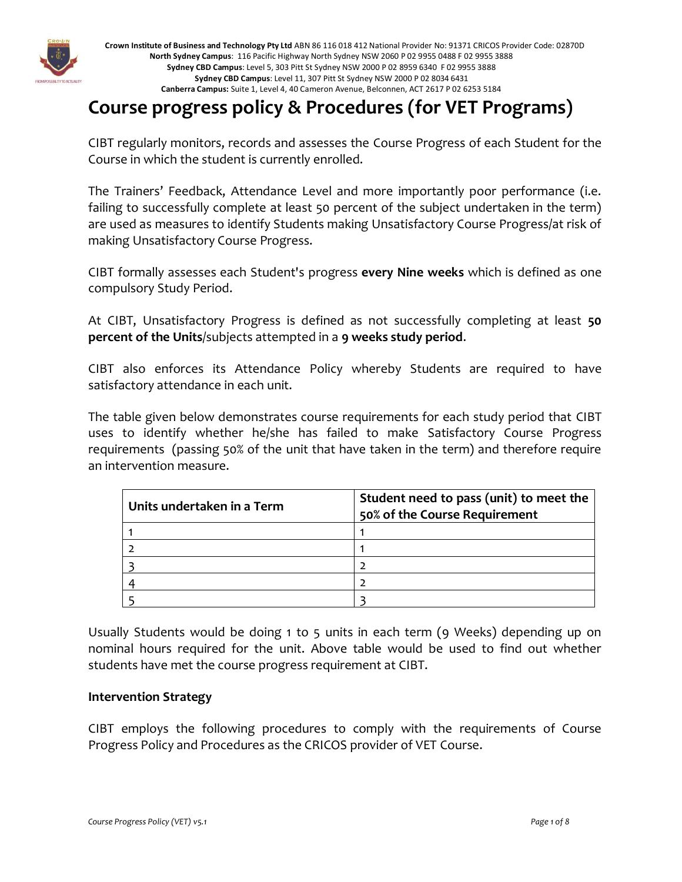

**Crown Institute of Business and Technology Pty Ltd** ABN 86 116 018 412 National Provider No: 91371 CRICOS Provider Code: 02870D **North Sydney Campus**: 116 Pacific Highway North Sydney NSW 2060 P 02 9955 0488 F 02 9955 3888 **Sydney CBD Campus**: Level 5, 303 Pitt St Sydney NSW 2000 P 02 8959 6340 F 02 9955 3888 **Sydney CBD Campus**: Level 11, 307 Pitt St Sydney NSW 2000 P 02 8034 6431 **Canberra Campus:** Suite 1, Level 4, 40 Cameron Avenue, Belconnen, ACT 2617 P 02 6253 5184

# **Course progress policy & Procedures (for VET Programs)**

CIBT regularly monitors, records and assesses the Course Progress of each Student for the Course in which the student is currently enrolled.

The Trainers' Feedback, Attendance Level and more importantly poor performance (i.e. failing to successfully complete at least 50 percent of the subject undertaken in the term) are used as measures to identify Students making Unsatisfactory Course Progress/at risk of making Unsatisfactory Course Progress.

CIBT formally assesses each Student's progress **every Nine weeks** which is defined as one compulsory Study Period.

At CIBT, Unsatisfactory Progress is defined as not successfully completing at least **50 percent of the Units**/subjects attempted in a **9 weeks study period**.

CIBT also enforces its Attendance Policy whereby Students are required to have satisfactory attendance in each unit.

The table given below demonstrates course requirements for each study period that CIBT uses to identify whether he/she has failed to make Satisfactory Course Progress requirements (passing 50% of the unit that have taken in the term) and therefore require an intervention measure.

| Units undertaken in a Term | Student need to pass (unit) to meet the<br>50% of the Course Requirement |
|----------------------------|--------------------------------------------------------------------------|
|                            |                                                                          |
|                            |                                                                          |
|                            |                                                                          |
|                            |                                                                          |
|                            |                                                                          |

Usually Students would be doing 1 to 5 units in each term (9 Weeks) depending up on nominal hours required for the unit. Above table would be used to find out whether students have met the course progress requirement at CIBT.

#### **Intervention Strategy**

CIBT employs the following procedures to comply with the requirements of Course Progress Policy and Procedures as the CRICOS provider of VET Course.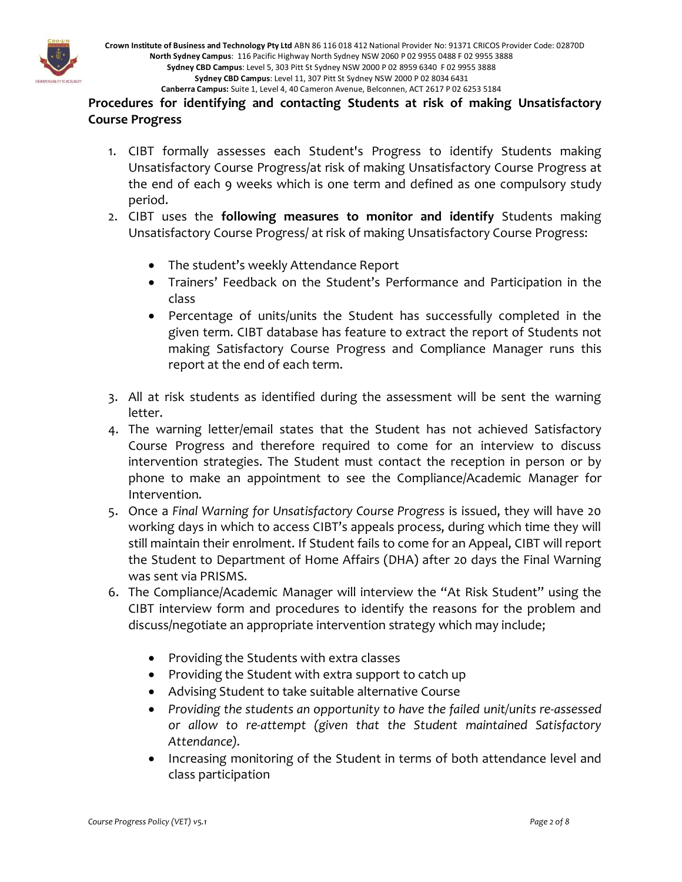

# **Procedures for identifying and contacting Students at risk of making Unsatisfactory Course Progress**

- 1. CIBT formally assesses each Student's Progress to identify Students making Unsatisfactory Course Progress/at risk of making Unsatisfactory Course Progress at the end of each 9 weeks which is one term and defined as one compulsory study period.
- 2. CIBT uses the **following measures to monitor and identify** Students making Unsatisfactory Course Progress/ at risk of making Unsatisfactory Course Progress:
	- The student's weekly Attendance Report
	- Trainers' Feedback on the Student's Performance and Participation in the class
	- Percentage of units/units the Student has successfully completed in the given term. CIBT database has feature to extract the report of Students not making Satisfactory Course Progress and Compliance Manager runs this report at the end of each term.
- 3. All at risk students as identified during the assessment will be sent the warning letter.
- 4. The warning letter/email states that the Student has not achieved Satisfactory Course Progress and therefore required to come for an interview to discuss intervention strategies. The Student must contact the reception in person or by phone to make an appointment to see the Compliance/Academic Manager for Intervention.
- 5. Once a *Final Warning for Unsatisfactory Course Progress* is issued, they will have 20 working days in which to access CIBT's appeals process, during which time they will still maintain their enrolment. If Student fails to come for an Appeal, CIBT will report the Student to Department of Home Affairs (DHA) after 20 days the Final Warning was sent via PRISMS.
- 6. The Compliance/Academic Manager will interview the "At Risk Student" using the CIBT interview form and procedures to identify the reasons for the problem and discuss/negotiate an appropriate intervention strategy which may include;
	- Providing the Students with extra classes
	- Providing the Student with extra support to catch up
	- Advising Student to take suitable alternative Course
	- *Providing the students an opportunity to have the failed unit/units re-assessed or allow to re-attempt (given that the Student maintained Satisfactory Attendance).*
	- Increasing monitoring of the Student in terms of both attendance level and class participation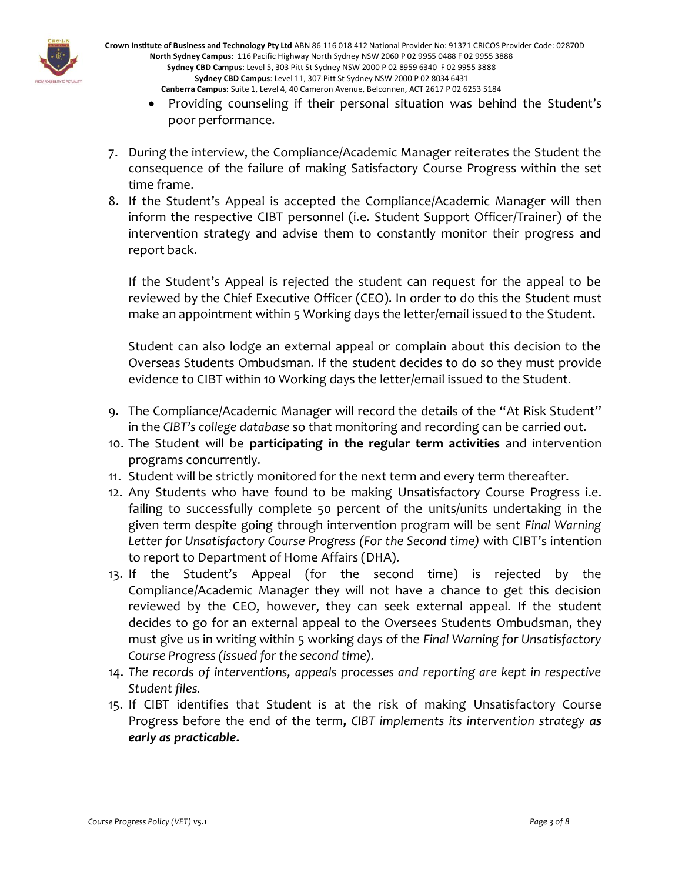

**Crown Institute of Business and Technology Pty Ltd** ABN 86 116 018 412 National Provider No: 91371 CRICOS Provider Code: 02870D **North Sydney Campus**: 116 Pacific Highway North Sydney NSW 2060 P 02 9955 0488 F 02 9955 3888 **Sydney CBD Campus**: Level 5, 303 Pitt St Sydney NSW 2000 P 02 8959 6340 F 02 9955 3888 **Sydney CBD Campus**: Level 11, 307 Pitt St Sydney NSW 2000 P 02 8034 6431 **Canberra Campus:** Suite 1, Level 4, 40 Cameron Avenue, Belconnen, ACT 2617 P 02 6253 5184

- Providing counseling if their personal situation was behind the Student's poor performance.
- 7. During the interview, the Compliance/Academic Manager reiterates the Student the consequence of the failure of making Satisfactory Course Progress within the set time frame.
- 8. If the Student's Appeal is accepted the Compliance/Academic Manager will then inform the respective CIBT personnel (i.e. Student Support Officer/Trainer) of the intervention strategy and advise them to constantly monitor their progress and report back.

If the Student's Appeal is rejected the student can request for the appeal to be reviewed by the Chief Executive Officer (CEO). In order to do this the Student must make an appointment within 5 Working days the letter/email issued to the Student.

Student can also lodge an external appeal or complain about this decision to the Overseas Students Ombudsman. If the student decides to do so they must provide evidence to CIBT within 10 Working days the letter/email issued to the Student.

- 9. The Compliance/Academic Manager will record the details of the "At Risk Student" in the *CIBT's college database* so that monitoring and recording can be carried out.
- 10. The Student will be **participating in the regular term activities** and intervention programs concurrently.
- 11. Student will be strictly monitored for the next term and every term thereafter.
- 12. Any Students who have found to be making Unsatisfactory Course Progress i.e. failing to successfully complete 50 percent of the units/units undertaking in the given term despite going through intervention program will be sent *Final Warning Letter for Unsatisfactory Course Progress (For the Second time)* with CIBT's intention to report to Department of Home Affairs (DHA).
- 13. If the Student's Appeal (for the second time) is rejected by the Compliance/Academic Manager they will not have a chance to get this decision reviewed by the CEO, however, they can seek external appeal. If the student decides to go for an external appeal to the Oversees Students Ombudsman, they must give us in writing within 5 working days of the *Final Warning for Unsatisfactory Course Progress (issued for the second time).*
- 14. *The records of interventions, appeals processes and reporting are kept in respective Student files.*
- 15. If CIBT identifies that Student is at the risk of making Unsatisfactory Course Progress before the end of the term*, CIBT implements its intervention strategy as early as practicable***.**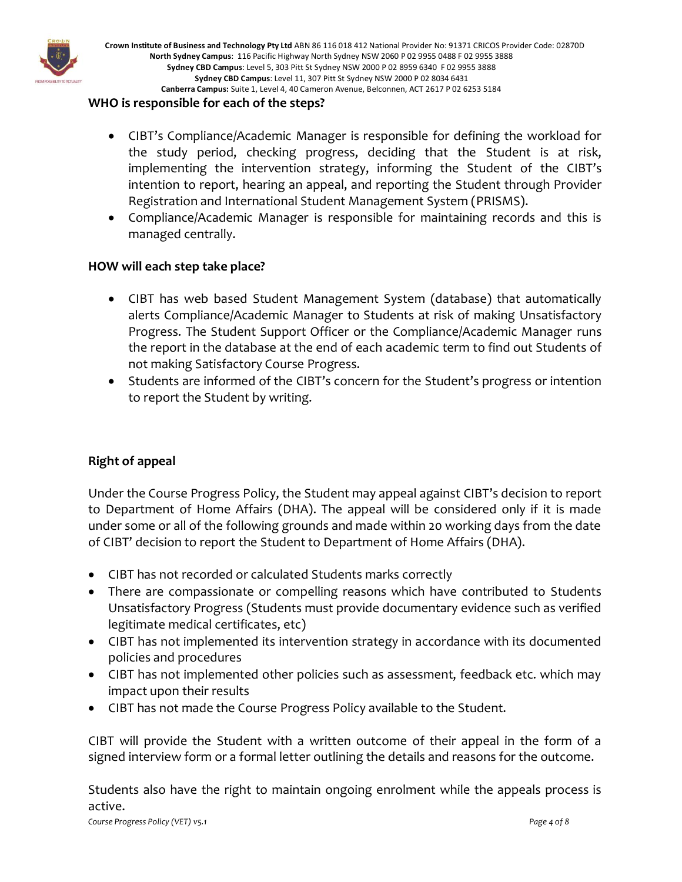

#### **WHO is responsible for each of the steps?**

- CIBT's Compliance/Academic Manager is responsible for defining the workload for the study period, checking progress, deciding that the Student is at risk, implementing the intervention strategy, informing the Student of the CIBT's intention to report, hearing an appeal, and reporting the Student through Provider Registration and International Student Management System (PRISMS).
- Compliance/Academic Manager is responsible for maintaining records and this is managed centrally.

#### **HOW will each step take place?**

- CIBT has web based Student Management System (database) that automatically alerts Compliance/Academic Manager to Students at risk of making Unsatisfactory Progress. The Student Support Officer or the Compliance/Academic Manager runs the report in the database at the end of each academic term to find out Students of not making Satisfactory Course Progress.
- Students are informed of the CIBT's concern for the Student's progress or intention to report the Student by writing.

#### **Right of appeal**

Under the Course Progress Policy, the Student may appeal against CIBT's decision to report to Department of Home Affairs (DHA). The appeal will be considered only if it is made under some or all of the following grounds and made within 20 working days from the date of CIBT' decision to report the Student to Department of Home Affairs (DHA).

- CIBT has not recorded or calculated Students marks correctly
- There are compassionate or compelling reasons which have contributed to Students Unsatisfactory Progress (Students must provide documentary evidence such as verified legitimate medical certificates, etc)
- CIBT has not implemented its intervention strategy in accordance with its documented policies and procedures
- CIBT has not implemented other policies such as assessment, feedback etc. which may impact upon their results
- CIBT has not made the Course Progress Policy available to the Student.

CIBT will provide the Student with a written outcome of their appeal in the form of a signed interview form or a formal letter outlining the details and reasons for the outcome.

Students also have the right to maintain ongoing enrolment while the appeals process is active.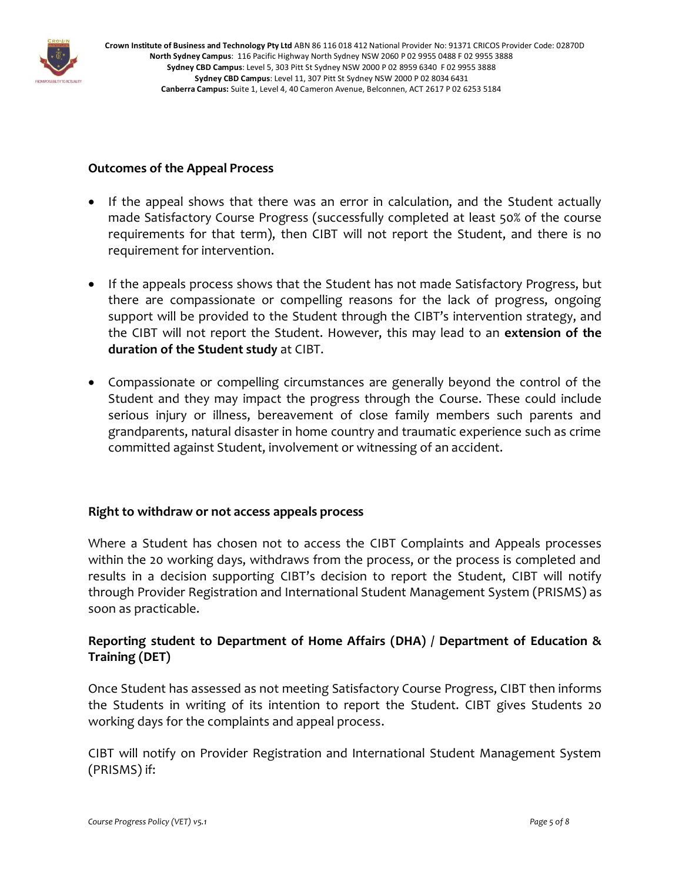

# **Outcomes of the Appeal Process**

- If the appeal shows that there was an error in calculation, and the Student actually made Satisfactory Course Progress (successfully completed at least 50% of the course requirements for that term), then CIBT will not report the Student, and there is no requirement for intervention.
- If the appeals process shows that the Student has not made Satisfactory Progress, but there are compassionate or compelling reasons for the lack of progress, ongoing support will be provided to the Student through the CIBT's intervention strategy, and the CIBT will not report the Student. However, this may lead to an **extension of the duration of the Student study** at CIBT.
- Compassionate or compelling circumstances are generally beyond the control of the Student and they may impact the progress through the Course. These could include serious injury or illness, bereavement of close family members such parents and grandparents, natural disaster in home country and traumatic experience such as crime committed against Student, involvement or witnessing of an accident.

#### **Right to withdraw or not access appeals process**

Where a Student has chosen not to access the CIBT Complaints and Appeals processes within the 20 working days, withdraws from the process, or the process is completed and results in a decision supporting CIBT's decision to report the Student, CIBT will notify through Provider Registration and International Student Management System (PRISMS) as soon as practicable.

# **Reporting student to Department of Home Affairs (DHA) / Department of Education & Training (DET)**

Once Student has assessed as not meeting Satisfactory Course Progress, CIBT then informs the Students in writing of its intention to report the Student. CIBT gives Students 20 working days for the complaints and appeal process.

CIBT will notify on Provider Registration and International Student Management System (PRISMS) if: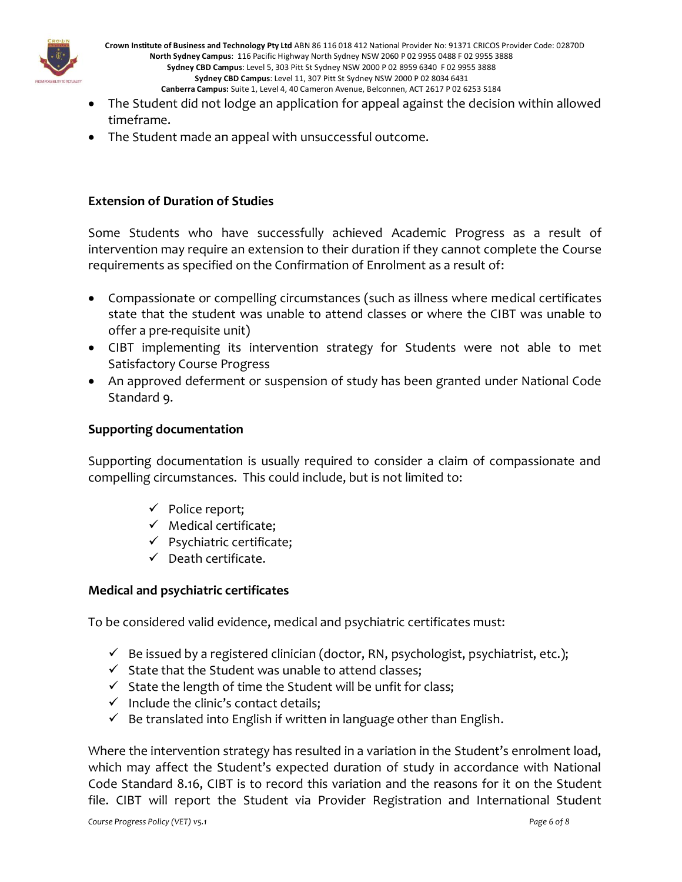

**Crown Institute of Business and Technology Pty Ltd** ABN 86 116 018 412 National Provider No: 91371 CRICOS Provider Code: 02870D **North Sydney Campus**: 116 Pacific Highway North Sydney NSW 2060 P 02 9955 0488 F 02 9955 3888 **Sydney CBD Campus**: Level 5, 303 Pitt St Sydney NSW 2000 P 02 8959 6340 F 02 9955 3888 **Sydney CBD Campus**: Level 11, 307 Pitt St Sydney NSW 2000 P 02 8034 6431 **Canberra Campus:** Suite 1, Level 4, 40 Cameron Avenue, Belconnen, ACT 2617 P 02 6253 5184

- The Student did not lodge an application for appeal against the decision within allowed timeframe.
- The Student made an appeal with unsuccessful outcome.

# **Extension of Duration of Studies**

Some Students who have successfully achieved Academic Progress as a result of intervention may require an extension to their duration if they cannot complete the Course requirements as specified on the Confirmation of Enrolment as a result of:

- Compassionate or compelling circumstances (such as illness where medical certificates state that the student was unable to attend classes or where the CIBT was unable to offer a pre-requisite unit)
- CIBT implementing its intervention strategy for Students were not able to met Satisfactory Course Progress
- An approved deferment or suspension of study has been granted under National Code Standard 9.

#### **Supporting documentation**

Supporting documentation is usually required to consider a claim of compassionate and compelling circumstances. This could include, but is not limited to:

- ✓ Police report;
- $\checkmark$  Medical certificate;
- ✓ Psychiatric certificate;
- $\checkmark$  Death certificate.

#### **Medical and psychiatric certificates**

To be considered valid evidence, medical and psychiatric certificates must:

- $\checkmark$  Be issued by a registered clinician (doctor, RN, psychologist, psychiatrist, etc.);
- ✓ State that the Student was unable to attend classes;
- $\checkmark$  State the length of time the Student will be unfit for class;
- $\checkmark$  Include the clinic's contact details;
- $\checkmark$  Be translated into English if written in language other than English.

Where the intervention strategy has resulted in a variation in the Student's enrolment load, which may affect the Student's expected duration of study in accordance with National Code Standard 8.16, CIBT is to record this variation and the reasons for it on the Student file. CIBT will report the Student via Provider Registration and International Student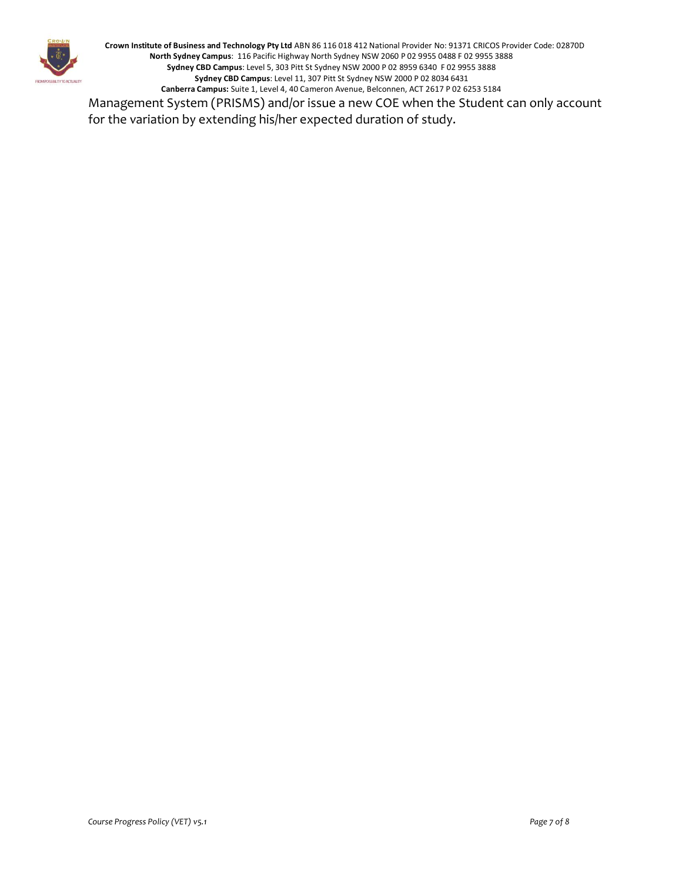

**Crown Institute of Business and Technology Pty Ltd** ABN 86 116 018 412 National Provider No: 91371 CRICOS Provider Code: 02870D **North Sydney Campus**: 116 Pacific Highway North Sydney NSW 2060 P 02 9955 0488 F 02 9955 3888 **Sydney CBD Campus**: Level 5, 303 Pitt St Sydney NSW 2000 P 02 8959 6340 F 02 9955 3888 **Sydney CBD Campus**: Level 11, 307 Pitt St Sydney NSW 2000 P 02 8034 6431 **Canberra Campus:** Suite 1, Level 4, 40 Cameron Avenue, Belconnen, ACT 2617 P 02 6253 5184 Management System (PRISMS) and/or issue a new COE when the Student can only account

for the variation by extending his/her expected duration of study.